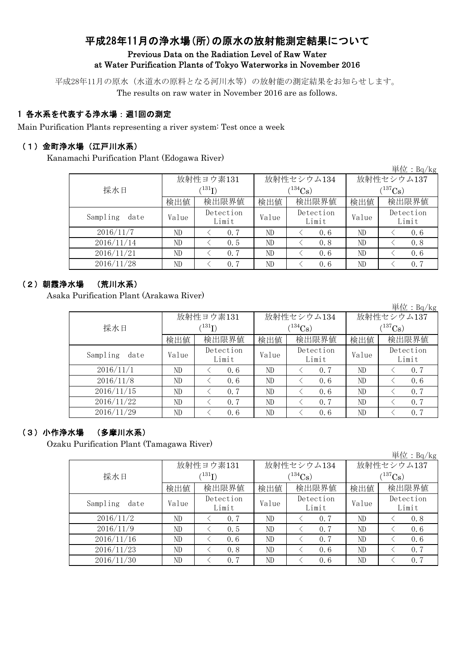# 平成28年11月の浄水場(所)の原水の放射能測定結果について Previous Data on the Radiation Level of Raw Water at Water Purification Plants of Tokyo Waterworks in November 2016

平成28年11月の原水(水道水の原料となる河川水等)の放射能の測定結果をお知らせします。

The results on raw water in November 2016 are as follows.

## 1 各水系を代表する浄水場:週1回の測定

Main Purification Plants representing a river system: Test once a week

### (1)金町浄水場(江戸川水系)

Kanamachi Purification Plant (Edogawa River)

|                  |       |                    |       |                    |             | 単位 : Bq/kg         |  |
|------------------|-------|--------------------|-------|--------------------|-------------|--------------------|--|
|                  |       | 放射性ヨウ素131          |       | 放射性セシウム134         | 放射性セシウム137  |                    |  |
| 採水日              |       | $^{131}I)$         |       | $134C_s$           | $(137)$ Cs) |                    |  |
|                  | 検出値   | 検出限界値              | 検出値   | 検出限界値              | 検出値         | 検出限界値              |  |
| Sampling<br>date | Value | Detection<br>Limit | Value | Detection<br>Limit | Value       | Detection<br>Limit |  |
| 2016/11/7        | ND    | 0.7                | ND    | 0.6                | ND          | 0, 6               |  |
| 2016/11/14       | ND    | 0.5                | ND    | 0.8                | ND          | 0.8                |  |
| 2016/11/21       | ND    | 0.7                | ND    | 0.6                | ND          | 0.6                |  |
| 2016/11/28       | ND    | 0.7                | ND    | 0, 6               | ND          | 0.7                |  |

## (2)朝霞浄水場 (荒川水系)

Asaka Purification Plant (Arakawa River)

|                  |           |                    |       |                    |              | 単位: Bq/kg          |  |
|------------------|-----------|--------------------|-------|--------------------|--------------|--------------------|--|
|                  | 放射性ヨウ素131 |                    |       | 放射性セシウム134         | 放射性セシウム137   |                    |  |
| 採水日              |           | (131)              |       | $134C_s$           | $(^{137}Cs)$ |                    |  |
|                  | 検出値       | 検出限界値              | 検出値   | 検出限界値              | 検出値          | 検出限界値              |  |
| Sampling<br>date | Value     | Detection<br>Limit | Value | Detection<br>Limit | Value        | Detection<br>Limit |  |
| 2016/11/1        | ND        | 0.6                | ND    | 0.7                | ND           | 0.7                |  |
| 2016/11/8        | ND        | 0.6                | ND    | 0.6                | ND           | 0, 6               |  |
| 2016/11/15       | ND        | 0.7                | ND    | 0.6                | ND           | 0.7                |  |
| 2016/11/22       | ND        | 0.7                | ND    | 0.7                | ND           | 0.7                |  |
| 2016/11/29       | ND        | 0.6                | ND    | 0.6                | ND           | 0.7                |  |

## (3)小作浄水場 (多摩川水系)

Ozaku Purification Plant (Tamagawa River)

|  | 単位:Bq/kg |
|--|----------|
|  |          |

|                  |                    | 放射性ヨウ素131                |       | 放射性セシウム134  | 放射性セシウム137  |           |  |  |  |  |
|------------------|--------------------|--------------------------|-------|-------------|-------------|-----------|--|--|--|--|
| 採水日              |                    | $^{\prime\,131}{\rm I})$ |       | $1^{134}Cs$ | $(137)$ Cs) |           |  |  |  |  |
|                  | 検出値                | 検出限界値                    | 検出値   | 検出限界値       | 検出値         | 検出限界値     |  |  |  |  |
| Sampling<br>date | Detection<br>Value |                          | Value | Detection   | Value       | Detection |  |  |  |  |
|                  |                    | Limit                    |       | Limit       |             | Limit     |  |  |  |  |
| 2016/11/2        | ND                 | 0, 7                     | ND    | 0.7         | ND          | 0.8       |  |  |  |  |
| 2016/11/9        | ND                 | 0.5                      | ND    | 0.7         | ND          | 0.6       |  |  |  |  |
| 2016/11/16       | ND                 | 0.6                      | ND    | 0.7         | ND          | 0.6       |  |  |  |  |
| 2016/11/23       | ND                 | 0.8                      | ND    | 0.6         | ND          | 0.7       |  |  |  |  |
| 2016/11/30       | ND                 | 0, 7                     | ND    | 0.6         | ND          | 0, 7      |  |  |  |  |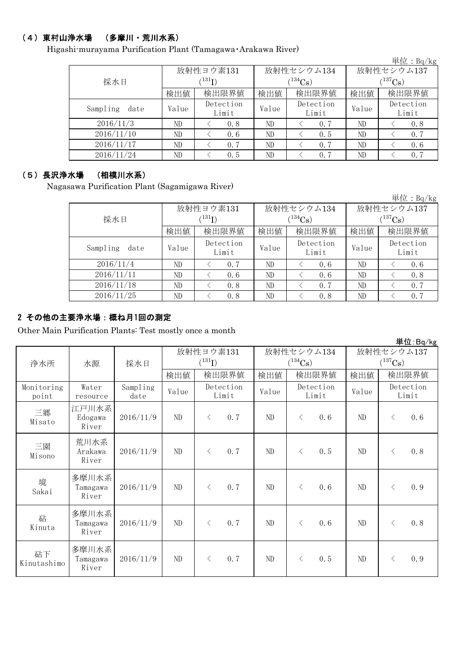## (4)東村山浄水場 (多摩川・荒川水系)

Higashi-murayama Purification Plant (Tamagawa・Arakawa River)

| $\pm$ 1 $\mu$ : Dq/Kg |       |                    |          |                    |             |                    |  |  |  |  |
|-----------------------|-------|--------------------|----------|--------------------|-------------|--------------------|--|--|--|--|
|                       |       | 放射性ヨウ素131          |          | 放射性セシウム134         | 放射性セシウム137  |                    |  |  |  |  |
| 採水日                   |       |                    | $134C_s$ |                    | $(137)$ Cs) |                    |  |  |  |  |
|                       | 検出値   | 検出限界値              | 検出値      | 検出限界値              | 検出値         | 検出限界値              |  |  |  |  |
| Sampling<br>date      | Value | Detection<br>Limit | Value    | Detection<br>Limit | Value       | Detection<br>Limit |  |  |  |  |
| 2016/11/3             | ND    | 0.8                | ND       | 0.7                | ND          | 0.8                |  |  |  |  |
| 2016/11/10            | ND    | 0, 6               | ND       | 0.5                | ND          | 0.7                |  |  |  |  |
| 2016/11/17            | ND    | 0.7                | ND       | 0.7                | ND          | 0.6                |  |  |  |  |
| 2016/11/24            | ND    | 0.5                | ND       | 0.7                | ND          | 0.7                |  |  |  |  |

### (5)長沢浄水場 (相模川水系)

Nagasawa Purification Plant (Sagamigawa River)

|                  |       |                    |       |                    |              | 単位:B $q/kg$        |  |
|------------------|-------|--------------------|-------|--------------------|--------------|--------------------|--|
|                  |       | 放射性ヨウ素131          |       | 放射性セシウム134         | 放射性セシウム137   |                    |  |
| 採水日              |       | (131)              |       | $(134)$ Cs)        | $(^{137}Cs)$ |                    |  |
|                  | 検出値   | 検出限界値              | 検出値   | 検出限界値              | 検出値          | 検出限界値              |  |
| Sampling<br>date | Value | Detection<br>Limit | Value | Detection<br>Limit | Value        | Detection<br>Limit |  |
| 2016/11/4        | ND    | 0.7                | ND    | 0.6                | ND           | 0.6                |  |
| 2016/11/11       | ND    | 0.6                | ND    | 0.6                | ND           | 0.8                |  |
| 2016/11/18       | ND    | 0.8                | ND    | 0.7                | ND           | 0.7                |  |
| 2016/11/25       | ND    | 0.8                | ND    | 0.8                | ND           | 0.7                |  |

### 2 その他の主要浄水場:概ね月1回の測定

Other Main Purification Plants: Test mostly once a month

|                     |                            |                  |           |                    |                       |                    |                       | $+12.54$ / Ng      |
|---------------------|----------------------------|------------------|-----------|--------------------|-----------------------|--------------------|-----------------------|--------------------|
|                     |                            |                  | 放射性ヨウ素131 |                    |                       | 放射性セシウム134         | 放射性セシウム137            |                    |
| 浄水所                 | 水源                         | 採水日              |           | $(^{131}I)$        | $(^{134}\mathrm{Cs})$ |                    | $(^{137}\mathrm{Cs})$ |                    |
|                     |                            |                  | 検出値       | 検出限界値              | 検出値                   | 検出限界値              | 検出値                   | 検出限界値              |
| Monitoring<br>point | Water<br>resource          | Sampling<br>date | Value     | Detection<br>Limit | Value                 | Detection<br>Limit | Value                 | Detection<br>Limit |
| 三郷<br>Misato        | 江戸川水系<br>Edogawa<br>River  | 2016/11/9        | $\rm ND$  | 0.7<br>$\langle$   | ND                    | 0.6<br>$\langle$   | ND                    | 0.6<br>$\lt$       |
| 三園<br>Misono        | 荒川水系<br>Arakawa<br>River   | 2016/11/9        | ND        | 0.7<br>$\langle$   | $\rm ND$              | 0.5<br>$\langle$   | ND                    | 0.8<br>$\langle$   |
| 境<br>Sakai          | 多摩川水系<br>Tamagawa<br>River | 2016/11/9        | ND        | 0.7<br>$\langle$   | ND                    | 0.6<br>$\langle$   | ND                    | 0.9<br>$\langle$   |
| 砧<br>Kinuta         | 多摩川水系<br>Tamagawa<br>River | 2016/11/9        | ND        | 0.7<br>$\lt$       | ND                    | 0.6<br>$\lt$       | ND                    | 0.8<br>$\lt$       |
| 砧下<br>Kinutashimo   | 多摩川水系<br>Tamagawa<br>River | 2016/11/9        | $\rm ND$  | 0.7<br>$\langle$   | $\rm ND$              | 0.5<br>$\langle$   | ND                    | 0.9<br>$\lt$       |

単位:Bq/kg

単位:Bq/kg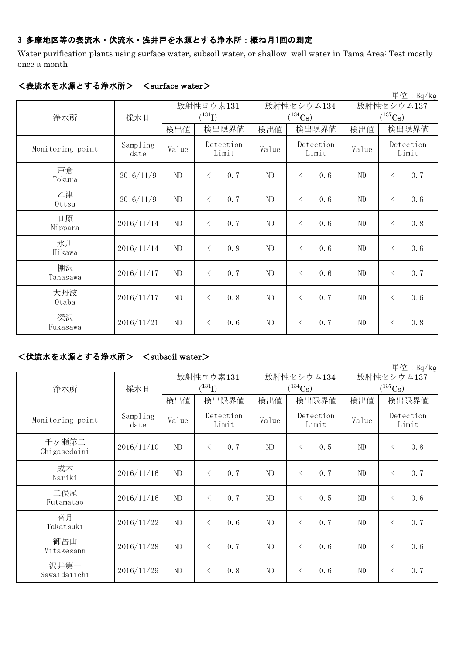### 3 多摩地区等の表流水・伏流水・浅井戸を水源とする浄水所:概ね月1回の測定

Water purification plants using surface water, subsoil water, or shallow well water in Tama Area: Test mostly once a month

| $\rm \ddot{\#}$ 位: Bq/kg |                  |           |                    |       |                       |       |                       |  |
|--------------------------|------------------|-----------|--------------------|-------|-----------------------|-------|-----------------------|--|
|                          |                  | 放射性ヨウ素131 |                    |       | 放射性セシウム134            |       | 放射性セシウム137            |  |
| 浄水所                      | 採水日              |           | $(^{131}I)$        |       | $(^{134}\mathrm{Cs})$ |       | $(^{137}\mathrm{Cs})$ |  |
|                          |                  | 検出値       | 検出限界値              | 検出値   | 検出限界値                 | 検出値   | 検出限界値                 |  |
| Monitoring point         | Sampling<br>date | Value     | Detection<br>Limit | Value | Detection<br>Limit    | Value | Detection<br>Limit    |  |
| 戸倉<br>Tokura             | 2016/11/9        | ND        | 0.7<br>$\langle$   | ND    | 0.6<br>$\lt$          | ND    | 0.7<br>$\lt$          |  |
| 乙津<br>Ottsu              | 2016/11/9        | ND        | 0.7<br>$\lt$       | ND    | $\lt$<br>0.6          | ND    | 0.6<br>$\lt$          |  |
| 日原<br>Nippara            | 2016/11/14       | ND        | 0.7<br>$\langle$   | ND    | 0.6<br>$\lt$          | ND    | 0.8<br>$\lt$          |  |
| 氷川<br>Hikawa             | 2016/11/14       | ND        | 0.9<br>$\langle$   | ND    | 0.6<br>$\lt$          | ND    | 0.6<br>$\lt$          |  |
| 棚沢<br>Tanasawa           | 2016/11/17       | ND        | 0.7<br>$\langle$   | ND    | $\lt$<br>0.6          | ND    | 0.7<br>$\lt$          |  |
| 大丹波<br>Otaba             | 2016/11/17       | ND        | 0.8<br>$\langle$   | ND    | 0.7<br>$\lt$          | ND    | 0.6<br>$\lt$          |  |
| 深沢<br>Fukasawa           | 2016/11/21       | ND        | 0.6<br>$\langle$   | ND    | 0.7<br>$\langle$      | ND    | 0.8<br>$\langle$      |  |

#### <表流水を水源とする浄水所> <surface water>

#### <伏流水を水源とする浄水所> <subsoil water>

検出値 | 検出限量 | 検出限界値 | 検出値 | 検出限界値 Sampling date  $V$ alue  $V$ <sup>Detection</sup> Value  $V$ <sup>Detection</sup> Value  $2016/11/10$  ND  $\leq 0.7$  ND  $\leq 0.5$  ND  $\leq 0.8$  $2016/11/16$  ND  $\leq 0.7$  ND  $\leq 0.7$  ND  $\leq 0.7$  $2016/11/16$  ND  $\leq 0.7$  ND  $\leq 0.5$  ND  $\leq 0.6$ 2016/11/22 ND < 0.6 ND < 0.7 ND < 0.7 2016/11/28 ND < 0.7 ND < 0.6 ND < 0.6 2016/11/29 ND < 0.8 ND < 0.6 ND < 0.7 二俣尾 Futamatao 成木 Nariki 放射性ヨウ素131  $(^{131}I)$ 御岳山 Mitakesann 高月 Takatsuki 放射性セシウム137  $(^{137}Cs)$ 放射性セシウム134  $(^{134}Cs)$ Detection Limit Monitoring point Detection Limit Detection Limit 浄水所 採水日 沢井第一 Sawaidaiichi 千ヶ瀬第二 Chigasedaini

単位:Bq/kg